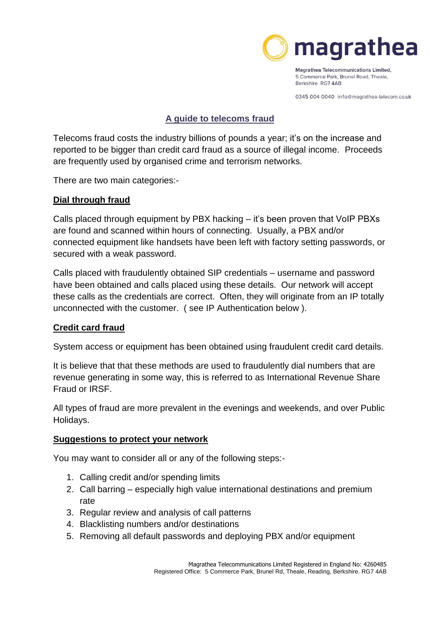

Magrathea Telecommunications Limited, 5 Commerce Park, Brunel Road, Theale, Berkshire RG74AB

0345 004 0040 info@magrathea-telecom.co.uk

### **A guide to telecoms fraud**

Telecoms fraud costs the industry billions of pounds a year; it's on the increase and reported to be bigger than credit card fraud as a source of illegal income. Proceeds are frequently used by organised crime and terrorism networks.

There are two main categories:-

# **Dial through fraud**

Calls placed through equipment by PBX hacking – it's been proven that VoIP PBXs are found and scanned within hours of connecting. Usually, a PBX and/or connected equipment like handsets have been left with factory setting passwords, or secured with a weak password.

Calls placed with fraudulently obtained SIP credentials – username and password have been obtained and calls placed using these details. Our network will accept these calls as the credentials are correct. Often, they will originate from an IP totally unconnected with the customer. ( see IP Authentication below ).

# **Credit card fraud**

System access or equipment has been obtained using fraudulent credit card details.

It is believe that that these methods are used to fraudulently dial numbers that are revenue generating in some way, this is referred to as International Revenue Share Fraud or IRSF.

All types of fraud are more prevalent in the evenings and weekends, and over Public Holidays.

### **Suggestions to protect your network**

You may want to consider all or any of the following steps:-

- 1. Calling credit and/or spending limits
- 2. Call barring especially high value international destinations and premium rate
- 3. Regular review and analysis of call patterns
- 4. Blacklisting numbers and/or destinations
- 5. Removing all default passwords and deploying PBX and/or equipment